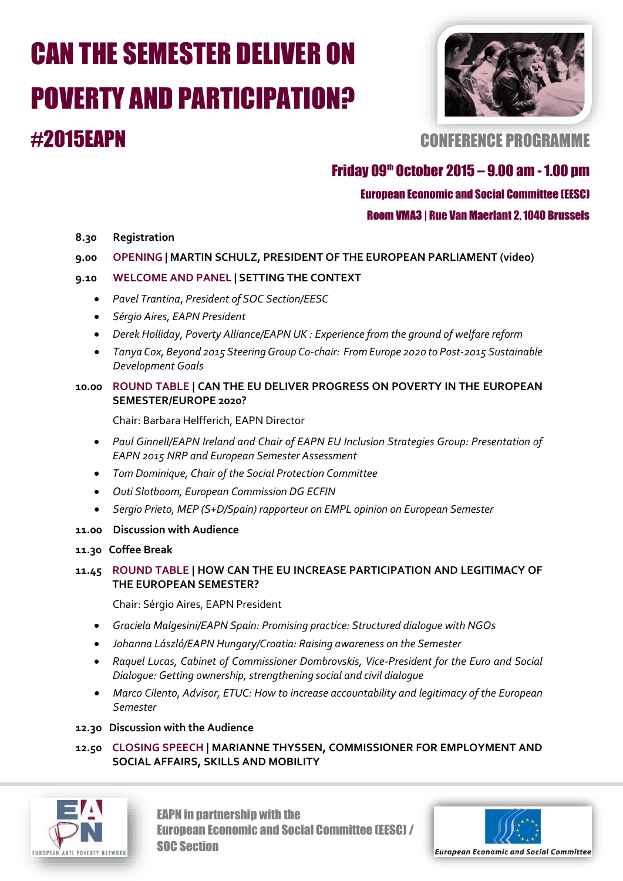# CAN THE SEMESTER DELIVER ON POVERTY AND PARTICIPATION? #2015EAPN CONFERENCE PROGRAMME



# Friday 09<sup>th</sup> October 2015 – 9.00 am - 1.00 pm

### European Economic and Social Committee (EESC)

Room VMA3 | Rue Van Maerlant 2, 1040 Brussels

- **8.30 Registration**
- **9.00 OPENING | MARTIN SCHULZ, PRESIDENT OF THE EUROPEAN PARLIAMENT (video)**

#### **9.10 WELCOME AND PANEL | SETTING THE CONTEXT**

- *Pavel Trantina*, *President of SOC Section/EESC*
- *Sérgio Aires, EAPN President*
- *Derek Holliday, Poverty Alliance/EAPN UK : Experience from the ground of welfare reform*
- *Tanya Cox, Beyond 2015 Steering Group Co-chair: From Europe 2020 to Post-2015 Sustainable Development Goals*

#### **10.00 ROUND TABLE | CAN THE EU DELIVER PROGRESS ON POVERTY IN THE EUROPEAN SEMESTER/EUROPE 2020?**

Chair: Barbara Helfferich, EAPN Director

- *Paul Ginnell/EAPN Ireland and Chair of EAPN EU Inclusion Strategies Group: Presentation of EAPN 2015 NRP and European Semester Assessment*
- *Tom Dominique, Chair of the Social Protection Committee*
- *Outi Slotboom, European Commission DG ECFIN*
- *Sergio Prieto, MEP (S+D/Spain) rapporteur on EMPL opinion on European Semester*
- **11.00 Discussion with Audience**
- **11.30 Coffee Break**

#### **11.45 ROUND TABLE | HOW CAN THE EU INCREASE PARTICIPATION AND LEGITIMACY OF THE EUROPEAN SEMESTER?**

Chair: Sérgio Aires, EAPN President

- *Graciela Malgesini/EAPN Spain: Promising practice: Structured dialogue with NGOs*
- *Johanna László/EAPN Hungary/Croatia: Raising awareness on the Semester*
- *Raquel Lucas, Cabinet of Commissioner Dombrovskis, Vice-President for the Euro and Social Dialogue: Getting ownership, strengthening social and civil dialogue*
- *Marco Cilento*, *Advisor, ETUC: How to increase accountability and legitimacy of the European Semester*

#### **12.30 Discussion with the Audience**

**12.50 CLOSING SPEECH | MARIANNE THYSSEN, COMMISSIONER FOR EMPLOYMENT AND SOCIAL AFFAIRS, SKILLS AND MOBILITY** 



EAPN in partnership with the European Economic and Social Committee (EESC) / SOC Section